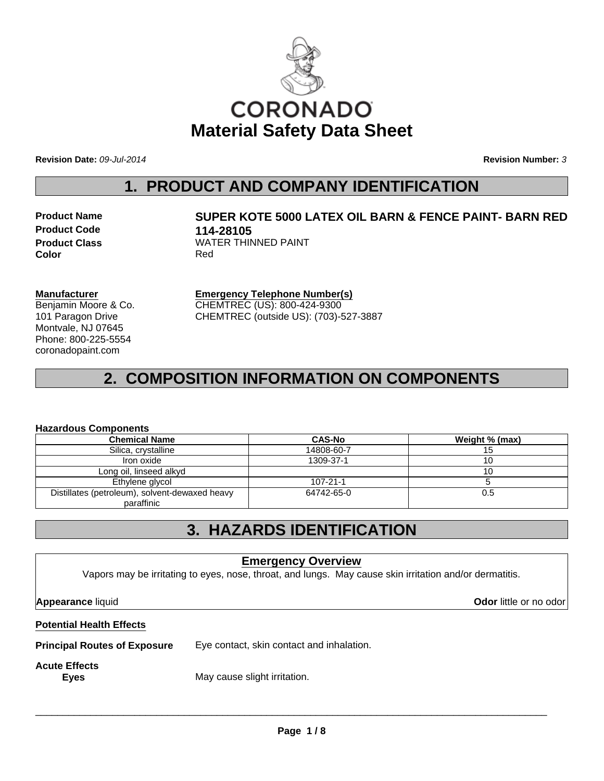

**Revision Date:** *09-Jul-2014* **Revision Number:** *3*

### **1. PRODUCT AND COMPANY IDENTIFICATION**

**Product Code 114-28105 Color** Red

# **Product Name SUPER KOTE 5000 LATEX OIL BARN & FENCE PAINT- BARN RED Product Class WATER THINNED PAINT**

**Manufacturer**

Benjamin Moore & Co. 101 Paragon Drive Montvale, NJ 07645 Phone: 800-225-5554 coronadopaint.com

**Emergency Telephone Number(s)** CHEMTREC (US): 800-424-9300 CHEMTREC (outside US): (703)-527-3887

# **2. COMPOSITION INFORMATION ON COMPONENTS**

#### **Hazardous Components**

| <b>Chemical Name</b>                           | <b>CAS-No</b>  | Weight % (max) |
|------------------------------------------------|----------------|----------------|
| Silica, crystalline                            | 14808-60-7     | 15             |
| Iron oxide                                     | 1309-37-1      | 10             |
| Long oil, linseed alkyd                        |                | 10             |
| Ethylene glycol                                | $107 - 21 - 1$ |                |
| Distillates (petroleum), solvent-dewaxed heavy | 64742-65-0     | 0.5            |
| paraffinic                                     |                |                |

## **3. HAZARDS IDENTIFICATION**

#### **Emergency Overview**

Vapors may be irritating to eyes, nose, throat, and lungs. May cause skin irritation and/or dermatitis.

**Appearance** liquid **Odor** little or no odor

#### **Potential Health Effects**

**Principal Routes of Exposure** Eye contact, skin contact and inhalation.

# **Acute Effects**

**Eyes** May cause slight irritation.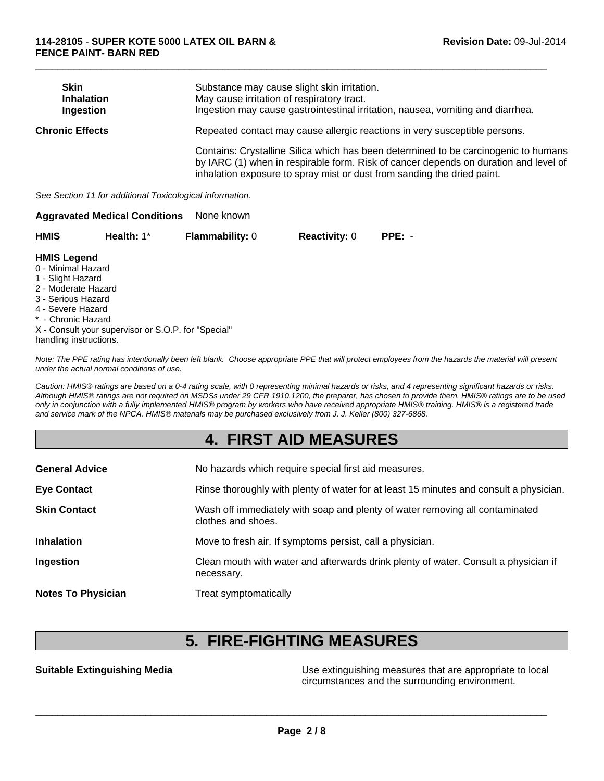| <b>Skin</b><br><b>Inhalation</b><br>Ingestion | Substance may cause slight skin irritation.<br>May cause irritation of respiratory tract.<br>Ingestion may cause gastrointestinal irritation, nausea, vomiting and diarrhea.                                                                           |
|-----------------------------------------------|--------------------------------------------------------------------------------------------------------------------------------------------------------------------------------------------------------------------------------------------------------|
| <b>Chronic Effects</b>                        | Repeated contact may cause allergic reactions in very susceptible persons.                                                                                                                                                                             |
|                                               | Contains: Crystalline Silica which has been determined to be carcinogenic to humans<br>by IARC (1) when in respirable form. Risk of cancer depends on duration and level of<br>inhalation exposure to spray mist or dust from sanding the dried paint. |

 $\Box$ 

*See Section 11 for additional Toxicological information.*

|                    | <b>Aggravated Medical Conditions</b> | None known             |                      |          |
|--------------------|--------------------------------------|------------------------|----------------------|----------|
| <b>HMIS</b>        | Health: $1^*$                        | <b>Flammability: 0</b> | <b>Reactivity: 0</b> | $PPE: -$ |
| <b>HMIS Legend</b> |                                      |                        |                      |          |

#### 0 - Minimal Hazard

- 1 Slight Hazard
- 2 Moderate Hazard
- 3 Serious Hazard
- 4 Severe Hazard
- \* Chronic Hazard
- X Consult your supervisor or S.O.P. for "Special"
- handling instructions.

*Note: The PPE rating has intentionally been left blank. Choose appropriate PPE that will protect employees from the hazards the material will present under the actual normal conditions of use.*

*Caution: HMIS® ratings are based on a 0-4 rating scale, with 0 representing minimal hazards or risks, and 4 representing significant hazards or risks. Although HMIS® ratings are not required on MSDSs under 29 CFR 1910.1200, the preparer, has chosen to provide them. HMIS® ratings are to be used only in conjunction with a fully implemented HMIS® program by workers who have received appropriate HMIS® training. HMIS® is a registered trade and service mark of the NPCA. HMIS® materials may be purchased exclusively from J. J. Keller (800) 327-6868.*

## **4. FIRST AID MEASURES**

| <b>General Advice</b>     | No hazards which require special first aid measures.                                               |
|---------------------------|----------------------------------------------------------------------------------------------------|
| <b>Eye Contact</b>        | Rinse thoroughly with plenty of water for at least 15 minutes and consult a physician.             |
| <b>Skin Contact</b>       | Wash off immediately with soap and plenty of water removing all contaminated<br>clothes and shoes. |
| <b>Inhalation</b>         | Move to fresh air. If symptoms persist, call a physician.                                          |
| Ingestion                 | Clean mouth with water and afterwards drink plenty of water. Consult a physician if<br>necessary.  |
| <b>Notes To Physician</b> | Treat symptomatically                                                                              |

### **5. FIRE-FIGHTING MEASURES**

**Suitable Extinguishing Media** Media **Network Communist Constant Constant Constant Constant Constant Constant Const** circumstances and the surrounding environment.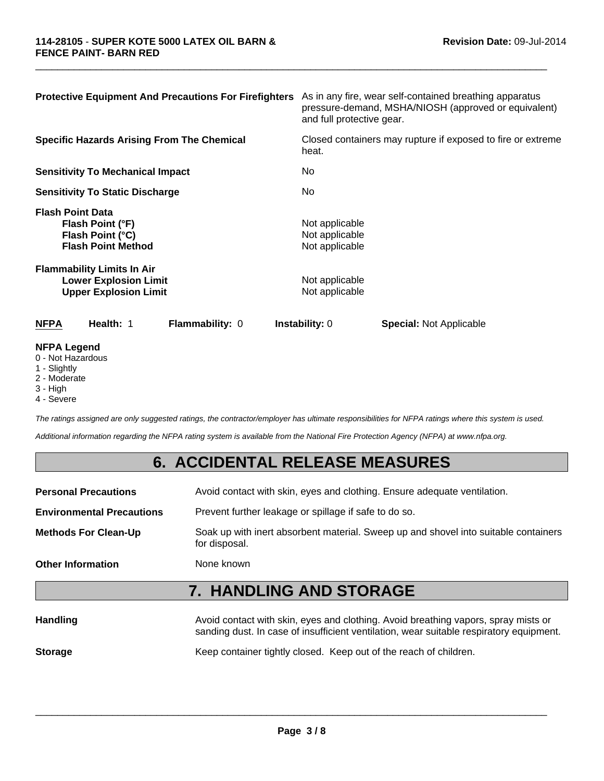| <b>Protective Equipment And Precautions For Firefighters</b>                                      | As in any fire, wear self-contained breathing apparatus<br>pressure-demand, MSHA/NIOSH (approved or equivalent)<br>and full protective gear. |
|---------------------------------------------------------------------------------------------------|----------------------------------------------------------------------------------------------------------------------------------------------|
| <b>Specific Hazards Arising From The Chemical</b>                                                 | Closed containers may rupture if exposed to fire or extreme<br>heat.                                                                         |
| <b>Sensitivity To Mechanical Impact</b>                                                           | No.                                                                                                                                          |
| <b>Sensitivity To Static Discharge</b>                                                            | No.                                                                                                                                          |
| <b>Flash Point Data</b><br>Flash Point (°F)<br>Flash Point (°C)<br><b>Flash Point Method</b>      | Not applicable<br>Not applicable<br>Not applicable                                                                                           |
| <b>Flammability Limits In Air</b><br><b>Lower Explosion Limit</b><br><b>Upper Explosion Limit</b> | Not applicable<br>Not applicable                                                                                                             |
| Health: 1<br><b>NFPA</b><br><b>Flammability: 0</b>                                                | <b>Instability: 0</b><br><b>Special: Not Applicable</b>                                                                                      |
| <b>NFPA Legend</b>                                                                                |                                                                                                                                              |

 $\Box$ 

### 0 - Not Hazardous

- 1 Slightly
- 2 Moderate
- 3 High
- 4 Severe

*The ratings assigned are only suggested ratings, the contractor/employer has ultimate responsibilities for NFPA ratings where this system is used.*

*Additional information regarding the NFPA rating system is available from the National Fire Protection Agency (NFPA) at www.nfpa.org.*

### **6. ACCIDENTAL RELEASE MEASURES**

**Personal Precautions** Avoid contact with skin, eyes and clothing. Ensure adequate ventilation. **Environmental Precautions** Prevent further leakage or spillage if safe to do so. **Methods For Clean-Up** Soak up with inert absorbent material. Sweep up and shovel into suitable containers for disposal. **Other Information** None known

# **7. HANDLING AND STORAGE**

| <b>Handling</b> | Avoid contact with skin, eyes and clothing. Avoid breathing vapors, spray mists or<br>sanding dust. In case of insufficient ventilation, wear suitable respiratory equipment. |
|-----------------|-------------------------------------------------------------------------------------------------------------------------------------------------------------------------------|
| <b>Storage</b>  | Keep container tightly closed. Keep out of the reach of children.                                                                                                             |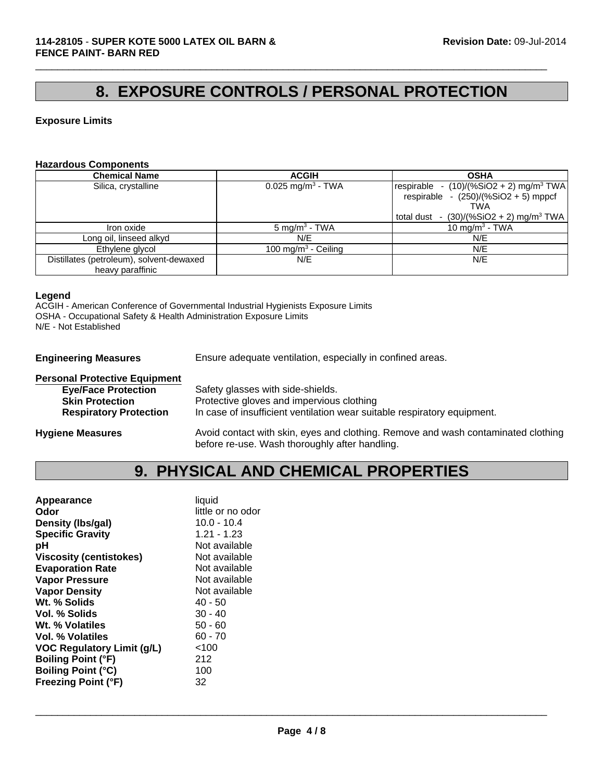# **8. EXPOSURE CONTROLS / PERSONAL PROTECTION**

 $\Box$ 

#### **Exposure Limits**

#### **Hazardous Components**

| <b>Chemical Name</b>                     | <b>ACGIH</b>                    | <b>OSHA</b>                                           |
|------------------------------------------|---------------------------------|-------------------------------------------------------|
| Silica, crystalline                      | $0.025$ mg/m <sup>3</sup> - TWA | respirable - $(10)/(%SiO2 + 2)$ mg/m <sup>3</sup> TWA |
|                                          |                                 | respirable - $(250)/(%SiO2 + 5)$ mppcf                |
|                                          |                                 | TWA                                                   |
|                                          |                                 | total dust - $(30)/(%SiO2 + 2)$ mg/m <sup>3</sup> TWA |
| Iron oxide                               | $5 \text{ mg/m}^3$ - TWA        | 10 mg/m <sup>3</sup> - TWA                            |
| Long oil, linseed alkyd                  | N/E                             | N/E                                                   |
| Ethylene glycol                          | 100 mg/m <sup>3</sup> - Ceiling | N/E                                                   |
| Distillates (petroleum), solvent-dewaxed | N/E                             | N/E                                                   |
| heavy paraffinic                         |                                 |                                                       |

#### **Legend**

ACGIH - American Conference of Governmental Industrial Hygienists Exposure Limits OSHA - Occupational Safety & Health Administration Exposure Limits N/E - Not Established

**Engineering Measures** Ensure adequate ventilation, especially in confined areas.

| <b>Personal Protective Equipment</b> |                                                                                                                                     |
|--------------------------------------|-------------------------------------------------------------------------------------------------------------------------------------|
| <b>Eye/Face Protection</b>           | Safety glasses with side-shields.                                                                                                   |
| <b>Skin Protection</b>               | Protective gloves and impervious clothing                                                                                           |
| <b>Respiratory Protection</b>        | In case of insufficient ventilation wear suitable respiratory equipment.                                                            |
| <b>Hygiene Measures</b>              | Avoid contact with skin, eyes and clothing. Remove and wash contaminated clothing<br>before re-use. Wash thoroughly after handling. |

### **9. PHYSICAL AND CHEMICAL PROPERTIES**

| Appearance                 | liquid            |
|----------------------------|-------------------|
| Odor                       | little or no odor |
| Density (Ibs/gal)          | $10.0 - 10.4$     |
| <b>Specific Gravity</b>    | $1.21 - 1.23$     |
| рH                         | Not available     |
| Viscosity (centistokes)    | Not available     |
| <b>Evaporation Rate</b>    | Not available     |
| <b>Vapor Pressure</b>      | Not available     |
| <b>Vapor Density</b>       | Not available     |
| Wt. % Solids               | $40 - 50$         |
| <b>Vol. % Solids</b>       | $30 - 40$         |
| Wt. % Volatiles            | $50 - 60$         |
| Vol. % Volatiles           | $60 - 70$         |
| VOC Regulatory Limit (g/L) | < 100             |
| <b>Boiling Point (°F)</b>  | 212               |
| <b>Boiling Point (°C)</b>  | 100               |
| <b>Freezing Point (°F)</b> | 32                |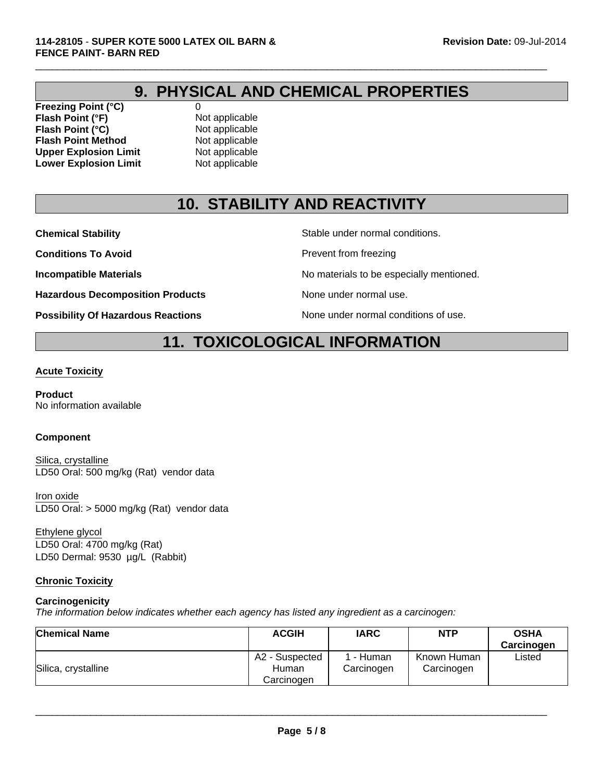# **9. PHYSICAL AND CHEMICAL PROPERTIES**

 $\Box$ 

**Freezing Point (°C)** 0 **Flash Point (°F)** Not applicable **Flash Point (°C)**<br> **Flash Point Method**<br>
Not applicable **Flash Point Method** Not applicable<br>
Upper Explosion Limit Not applicable **Upper Explosion Limit** Not applicable<br> **Lower Explosion Limit** Not applicable **Lower Explosion Limit** 

# **10. STABILITY AND REACTIVITY**

**Conditions To Avoid Prevent from freezing** 

**Hazardous Decomposition Products** None under normal use.

**Possibility Of Hazardous Reactions** None under normal conditions of use.

**Chemical Stability** Stable under normal conditions.

**Incompatible Materials Incompatible Materials No materials to be especially mentioned.** 

# **11. TOXICOLOGICAL INFORMATION**

#### **Acute Toxicity**

**Product** No information available

#### **Component**

Silica, crystalline LD50 Oral: 500 mg/kg (Rat) vendor data

Iron oxide LD50 Oral: > 5000 mg/kg (Rat) vendor data

LD50 Oral: 4700 mg/kg (Rat) LD50 Dermal: 9530 µg/L (Rabbit) Ethylene glycol

### **Chronic Toxicity**

#### **Carcinogenicity**

*The information below indicates whether each agency has listed any ingredient as a carcinogen:*

| <b>Chemical Name</b> | <b>ACGIH</b>                          | <b>IARC</b>           | <b>NTP</b>                | <b>OSHA</b><br>Carcinogen |
|----------------------|---------------------------------------|-----------------------|---------------------------|---------------------------|
| Silica, crystalline  | A2 - Suspected<br>Human<br>Carcinogen | - Human<br>Carcinogen | Known Human<br>Carcinogen | Listed                    |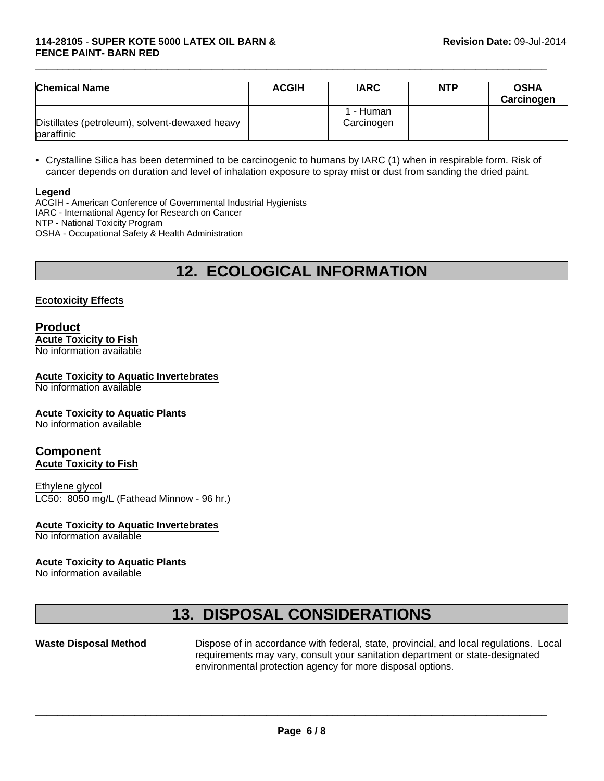| <b>Chemical Name</b>                                         | <b>ACGIH</b> | <b>IARC</b>             | <b>NTP</b> | <b>OSHA</b><br>Carcinogen |
|--------------------------------------------------------------|--------------|-------------------------|------------|---------------------------|
| Distillates (petroleum), solvent-dewaxed heavy<br>paraffinic |              | 1 - Human<br>Carcinogen |            |                           |

 $\Box$ 

• Crystalline Silica has been determined to be carcinogenic to humans by IARC (1) when in respirable form. Risk of cancer depends on duration and level of inhalation exposure to spray mist or dust from sanding the dried paint.

#### **Legend**

ACGIH - American Conference of Governmental Industrial Hygienists IARC - International Agency for Research on Cancer NTP - National Toxicity Program OSHA - Occupational Safety & Health Administration

# **12. ECOLOGICAL INFORMATION**

#### **Ecotoxicity Effects**

#### **Product Acute Toxicity to Fish** No information available

### **Acute Toxicity to Aquatic Invertebrates**

No information available

#### **Acute Toxicity to Aquatic Plants**

No information available

#### **Component Acute Toxicity to Fish**

Ethylene glycol LC50: 8050 mg/L (Fathead Minnow - 96 hr.)

#### **Acute Toxicity to Aquatic Invertebrates**

No information available

#### **Acute Toxicity to Aquatic Plants**

No information available

## **13. DISPOSAL CONSIDERATIONS**

**Waste Disposal Method** Dispose of in accordance with federal, state, provincial, and local regulations. Local requirements may vary, consult your sanitation department or state-designated environmental protection agency for more disposal options.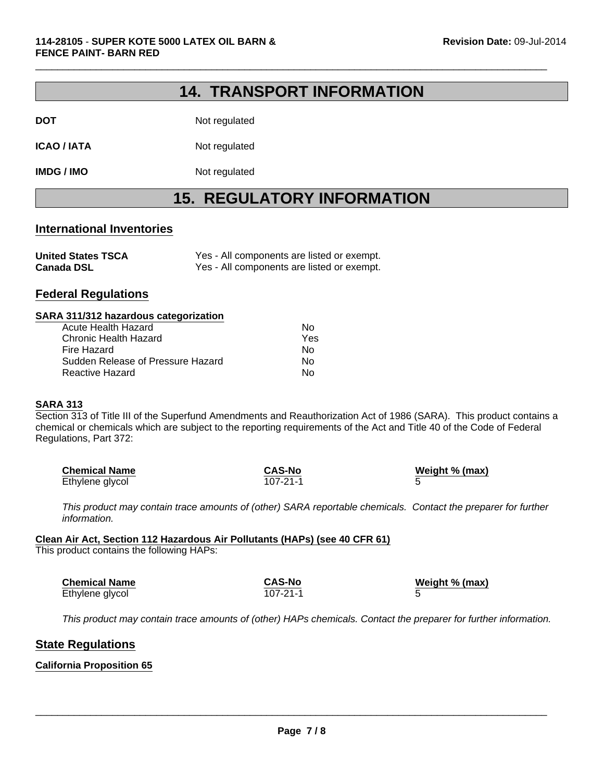### **14. TRANSPORT INFORMATION**

 $\Box$ 

| DOT | Not regulated |
|-----|---------------|
|     |               |

**ICAO / IATA** Not regulated

**IMDG / IMO** Not regulated

### **15. REGULATORY INFORMATION**

#### **International Inventories**

| <b>United States TSCA</b> | Yes - All components are listed or exempt. |
|---------------------------|--------------------------------------------|
| <b>Canada DSL</b>         | Yes - All components are listed or exempt. |

### **Federal Regulations**

#### **SARA 311/312 hazardous categorization**

| Acute Health Hazard               | Nο  |
|-----------------------------------|-----|
| Chronic Health Hazard             | Yes |
| Fire Hazard                       | Nο  |
| Sudden Release of Pressure Hazard | Nο  |
| Reactive Hazard                   | N٥  |

#### **SARA 313**

Section 313 of Title III of the Superfund Amendments and Reauthorization Act of 1986 (SARA). This product contains a chemical or chemicals which are subject to the reporting requirements of the Act and Title 40 of the Code of Federal Regulations, Part 372:

| <b>Chemical Name</b> | <b>CAS-No</b> | Weight % (max) |  |
|----------------------|---------------|----------------|--|
| Ethylene glycol      | 107-21-1      |                |  |

*This product may contain trace amounts of (other) SARA reportable chemicals. Contact the preparer for further information.*

### **Clean Air Act, Section 112 Hazardous Air Pollutants (HAPs) (see 40 CFR 61)**

This product contains the following HAPs:

| <b>Chemical Name</b> | <b>CAS-No</b> | Weight % (max) |
|----------------------|---------------|----------------|
| Ethylene glycol      | 107-21-1      |                |

*This product may contain trace amounts of (other) HAPs chemicals. Contact the preparer for further information.*

### **State Regulations**

#### **California Proposition 65**